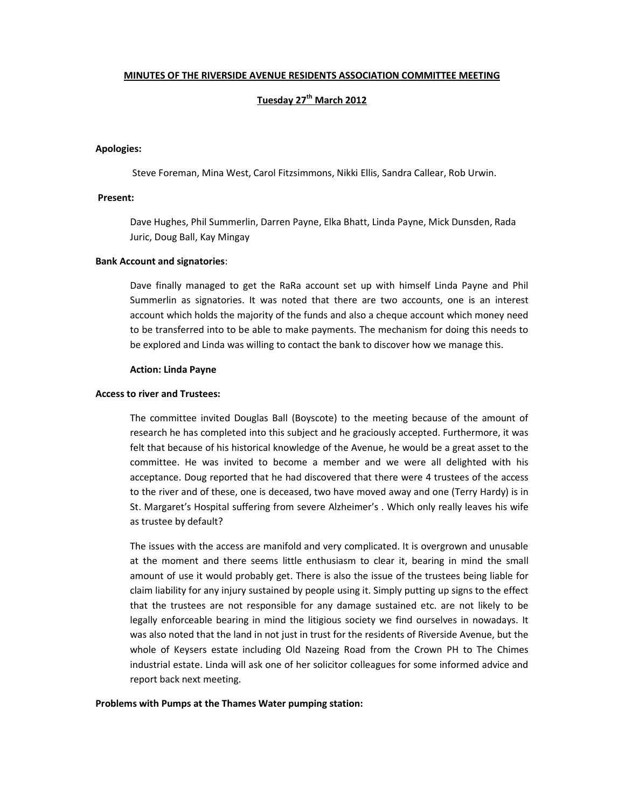### MINUTES OF THE RIVERSIDE AVENUE RESIDENTS ASSOCIATION COMMITTEE MEETING

# Tuesday 27<sup>th</sup> March 2012

### Apologies:

Steve Foreman, Mina West, Carol Fitzsimmons, Nikki Ellis, Sandra Callear, Rob Urwin.

### Present:

Dave Hughes, Phil Summerlin, Darren Payne, Elka Bhatt, Linda Payne, Mick Dunsden, Rada Juric, Doug Ball, Kay Mingay

#### Bank Account and signatories:

Dave finally managed to get the RaRa account set up with himself Linda Payne and Phil Summerlin as signatories. It was noted that there are two accounts, one is an interest account which holds the majority of the funds and also a cheque account which money need to be transferred into to be able to make payments. The mechanism for doing this needs to be explored and Linda was willing to contact the bank to discover how we manage this.

#### Action: Linda Payne

### Access to river and Trustees:

The committee invited Douglas Ball (Boyscote) to the meeting because of the amount of research he has completed into this subject and he graciously accepted. Furthermore, it was felt that because of his historical knowledge of the Avenue, he would be a great asset to the committee. He was invited to become a member and we were all delighted with his acceptance. Doug reported that he had discovered that there were 4 trustees of the access to the river and of these, one is deceased, two have moved away and one (Terry Hardy) is in St. Margaret's Hospital suffering from severe Alzheimer's . Which only really leaves his wife as trustee by default?

The issues with the access are manifold and very complicated. It is overgrown and unusable at the moment and there seems little enthusiasm to clear it, bearing in mind the small amount of use it would probably get. There is also the issue of the trustees being liable for claim liability for any injury sustained by people using it. Simply putting up signs to the effect that the trustees are not responsible for any damage sustained etc. are not likely to be legally enforceable bearing in mind the litigious society we find ourselves in nowadays. It was also noted that the land in not just in trust for the residents of Riverside Avenue, but the whole of Keysers estate including Old Nazeing Road from the Crown PH to The Chimes industrial estate. Linda will ask one of her solicitor colleagues for some informed advice and report back next meeting.

#### Problems with Pumps at the Thames Water pumping station: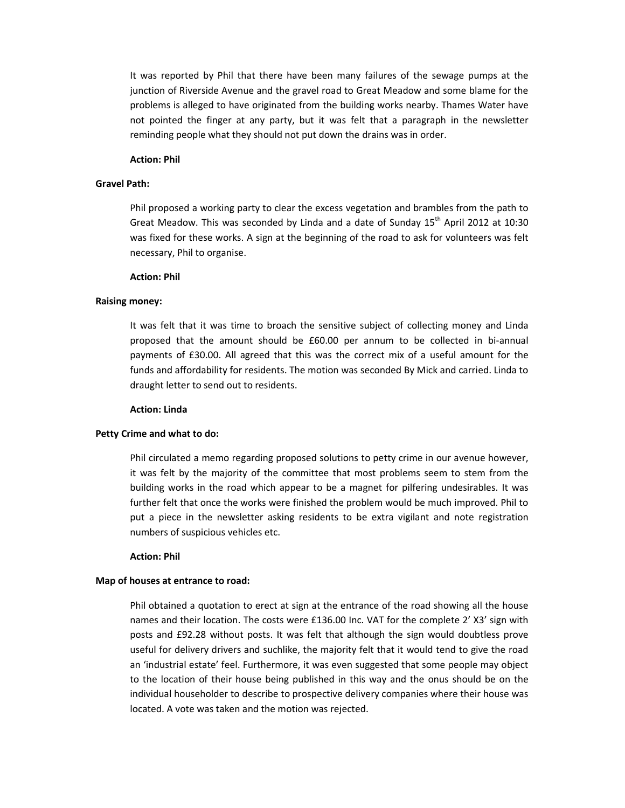It was reported by Phil that there have been many failures of the sewage pumps at the junction of Riverside Avenue and the gravel road to Great Meadow and some blame for the problems is alleged to have originated from the building works nearby. Thames Water have not pointed the finger at any party, but it was felt that a paragraph in the newsletter reminding people what they should not put down the drains was in order.

### Action: Phil

### Gravel Path:

Phil proposed a working party to clear the excess vegetation and brambles from the path to Great Meadow. This was seconded by Linda and a date of Sunday  $15<sup>th</sup>$  April 2012 at 10:30 was fixed for these works. A sign at the beginning of the road to ask for volunteers was felt necessary, Phil to organise.

#### Action: Phil

### Raising money:

It was felt that it was time to broach the sensitive subject of collecting money and Linda proposed that the amount should be £60.00 per annum to be collected in bi-annual payments of £30.00. All agreed that this was the correct mix of a useful amount for the funds and affordability for residents. The motion was seconded By Mick and carried. Linda to draught letter to send out to residents.

### Action: Linda

#### Petty Crime and what to do:

Phil circulated a memo regarding proposed solutions to petty crime in our avenue however, it was felt by the majority of the committee that most problems seem to stem from the building works in the road which appear to be a magnet for pilfering undesirables. It was further felt that once the works were finished the problem would be much improved. Phil to put a piece in the newsletter asking residents to be extra vigilant and note registration numbers of suspicious vehicles etc.

#### Action: Phil

#### Map of houses at entrance to road:

Phil obtained a quotation to erect at sign at the entrance of the road showing all the house names and their location. The costs were £136.00 Inc. VAT for the complete 2' X3' sign with posts and £92.28 without posts. It was felt that although the sign would doubtless prove useful for delivery drivers and suchlike, the majority felt that it would tend to give the road an 'industrial estate' feel. Furthermore, it was even suggested that some people may object to the location of their house being published in this way and the onus should be on the individual householder to describe to prospective delivery companies where their house was located. A vote was taken and the motion was rejected.